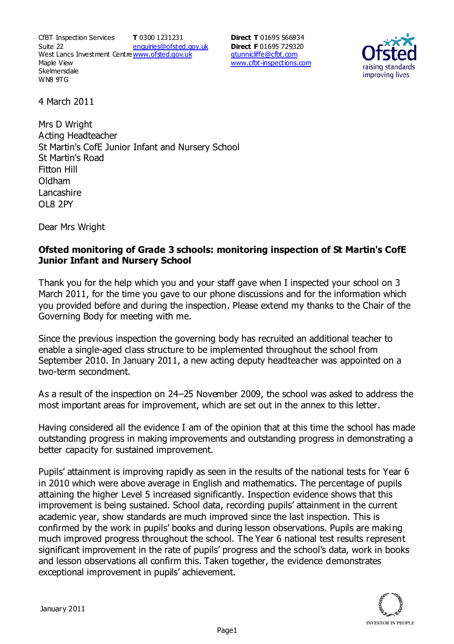CfBT Inspection Services Suite 22 West Lancs Investment Centre<u>www.ofsted.gov.uk</u> Maple View **Skelmersdale** WN8 9TG **T** 0300 1231231 enquiries@ofsted.gov.uk **Direct T** 01695 566934 **Direct F** 01695 729320 gtunnicliffe@cfbt.com www.cfbt-inspections.com



4 March 2011

Mrs D Wright Acting Headteacher St Martin's CofE Junior Infant and Nursery School St Martin's Road Fitton Hill Oldham Lancashire OL8 2PY

Dear Mrs Wright

## **Ofsted monitoring of Grade 3 schools: monitoring inspection of St Martin's CofE Junior Infant and Nursery School**

Thank you for the help which you and your staff gave when I inspected your school on 3 March 2011, for the time you gave to our phone discussions and for the information which you provided before and during the inspection. Please extend my thanks to the Chair of the Governing Body for meeting with me.

Since the previous inspection the governing body has recruited an additional teacher to enable a single-aged class structure to be implemented throughout the school from September 2010. In January 2011, a new acting deputy headteacher was appointed on a two-term secondment.

As a result of the inspection on 24–25 November 2009, the school was asked to address the most important areas for improvement, which are set out in the annex to this letter.

Having considered all the evidence I am of the opinion that at this time the school has made outstanding progress in making improvements and outstanding progress in demonstrating a better capacity for sustained improvement.

Pupils' attainment is improving rapidly as seen in the results of the national tests for Year 6 in 2010 which were above average in English and mathematics. The percentage of pupils attaining the higher Level 5 increased significantly. Inspection evidence shows that this improvement is being sustained. School data, recording pupils' attainment in the current academic year, show standards are much improved since the last inspection. This is confirmed by the work in pupils' books and during lesson observations. Pupils are making much improved progress throughout the school. The Year 6 national test results represent significant improvement in the rate of pupils' progress and the school's data, work in books and lesson observations all confirm this. Taken together, the evidence demonstrates exceptional improvement in pupils' achievement.

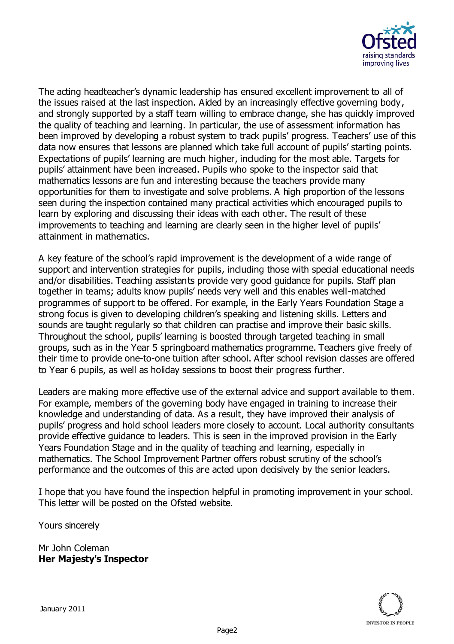

The acting headteacher's dynamic leadership has ensured excellent improvement to all of the issues raised at the last inspection. Aided by an increasingly effective governing body, and strongly supported by a staff team willing to embrace change, she has quickly improved the quality of teaching and learning. In particular, the use of assessment information has been improved by developing a robust system to track pupils' progress. Teachers' use of this data now ensures that lessons are planned which take full account of pupils' starting points. Expectations of pupils' learning are much higher, including for the most able. Targets for pupils' attainment have been increased. Pupils who spoke to the inspector said that mathematics lessons are fun and interesting because the teachers provide many opportunities for them to investigate and solve problems. A high proportion of the lessons seen during the inspection contained many practical activities which encouraged pupils to learn by exploring and discussing their ideas with each other. The result of these improvements to teaching and learning are clearly seen in the higher level of pupils' attainment in mathematics.

A key feature of the school's rapid improvement is the development of a wide range of support and intervention strategies for pupils, including those with special educational needs and/or disabilities. Teaching assistants provide very good guidance for pupils. Staff plan together in teams; adults know pupils' needs very well and this enables well-matched programmes of support to be offered. For example, in the Early Years Foundation Stage a strong focus is given to developing children's speaking and listening skills. Letters and sounds are taught regularly so that children can practise and improve their basic skills. Throughout the school, pupils' learning is boosted through targeted teaching in small groups, such as in the Year 5 springboard mathematics programme. Teachers give freely of their time to provide one-to-one tuition after school. After school revision classes are offered to Year 6 pupils, as well as holiday sessions to boost their progress further.

Leaders are making more effective use of the external advice and support available to them. For example, members of the governing body have engaged in training to increase their knowledge and understanding of data. As a result, they have improved their analysis of pupils' progress and hold school leaders more closely to account. Local authority consultants provide effective guidance to leaders. This is seen in the improved provision in the Early Years Foundation Stage and in the quality of teaching and learning, especially in mathematics. The School Improvement Partner offers robust scrutiny of the school's performance and the outcomes of this are acted upon decisively by the senior leaders.

I hope that you have found the inspection helpful in promoting improvement in your school. This letter will be posted on the Ofsted website.

Yours sincerely

Mr John Coleman **Her Majesty's Inspector**